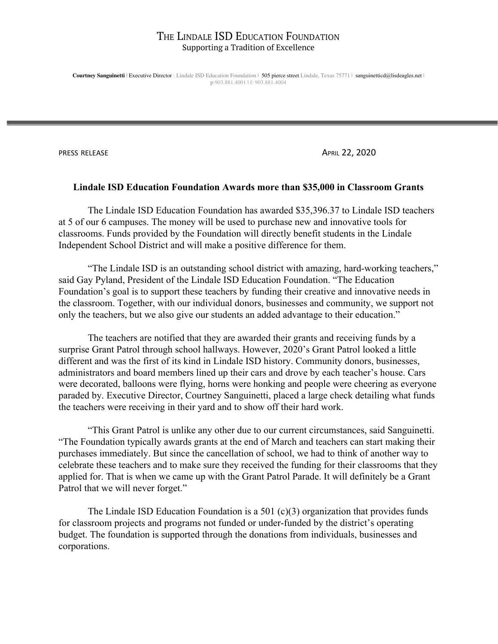**Courtney Sanguinetti** | Executive Director : Lindale ISD Education Foundation | 505 pierce street Lindale, Texas 75771 | sanguinetticd@lisdeagles.net | p:903.881.4001 | f: 903.881.4004

PRESS RELEASE **APRIL 22, 2020** 

#### **Lindale ISD Education Foundation Awards more than \$35,000 in Classroom Grants**

The Lindale ISD Education Foundation has awarded \$35,396.37 to Lindale ISD teachers at 5 of our 6 campuses. The money will be used to purchase new and innovative tools for classrooms. Funds provided by the Foundation will directly benefit students in the Lindale Independent School District and will make a positive difference for them.

"The Lindale ISD is an outstanding school district with amazing, hard-working teachers," said Gay Pyland, President of the Lindale ISD Education Foundation. "The Education Foundation's goal is to support these teachers by funding their creative and innovative needs in the classroom. Together, with our individual donors, businesses and community, we support not only the teachers, but we also give our students an added advantage to their education."

The teachers are notified that they are awarded their grants and receiving funds by a surprise Grant Patrol through school hallways. However, 2020's Grant Patrol looked a little different and was the first of its kind in Lindale ISD history. Community donors, businesses, administrators and board members lined up their cars and drove by each teacher's house. Cars were decorated, balloons were flying, horns were honking and people were cheering as everyone paraded by. Executive Director, Courtney Sanguinetti, placed a large check detailing what funds the teachers were receiving in their yard and to show off their hard work.

"This Grant Patrol is unlike any other due to our current circumstances, said Sanguinetti. "The Foundation typically awards grants at the end of March and teachers can start making their purchases immediately. But since the cancellation of school, we had to think of another way to celebrate these teachers and to make sure they received the funding for their classrooms that they applied for. That is when we came up with the Grant Patrol Parade. It will definitely be a Grant Patrol that we will never forget."

The Lindale ISD Education Foundation is a 501 (c)(3) organization that provides funds for classroom projects and programs not funded or under-funded by the district's operating budget. The foundation is supported through the donations from individuals, businesses and corporations.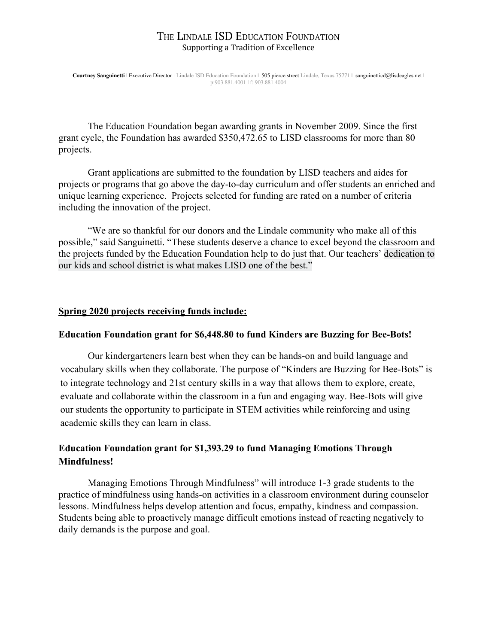**Courtney Sanguinetti** | Executive Director : Lindale ISD Education Foundation | 505 pierce street Lindale, Texas 75771 | sanguinetticd@lisdeagles.net | p:903.881.4001 | f: 903.881.4004

The Education Foundation began awarding grants in November 2009. Since the first grant cycle, the Foundation has awarded \$350,472.65 to LISD classrooms for more than 80 projects.

Grant applications are submitted to the foundation by LISD teachers and aides for projects or programs that go above the day-to-day curriculum and offer students an enriched and unique learning experience. Projects selected for funding are rated on a number of criteria including the innovation of the project.

"We are so thankful for our donors and the Lindale community who make all of this possible," said Sanguinetti. "These students deserve a chance to excel beyond the classroom and the projects funded by the Education Foundation help to do just that. Our teachers' dedication to our kids and school district is what makes LISD one of the best."

### **Spring 2020 projects receiving funds include:**

## **Education Foundation grant for \$6,448.80 to fund Kinders are Buzzing for Bee-Bots!**

Our kindergarteners learn best when they can be hands-on and build language and vocabulary skills when they collaborate. The purpose of "Kinders are Buzzing for Bee-Bots" is to integrate technology and 21st century skills in a way that allows them to explore, create, evaluate and collaborate within the classroom in a fun and engaging way. Bee-Bots will give our students the opportunity to participate in STEM activities while reinforcing and using academic skills they can learn in class.

# **Education Foundation grant for \$1,393.29 to fund Managing Emotions Through Mindfulness!**

Managing Emotions Through Mindfulness" will introduce 1-3 grade students to the practice of mindfulness using hands-on activities in a classroom environment during counselor lessons. Mindfulness helps develop attention and focus, empathy, kindness and compassion. Students being able to proactively manage difficult emotions instead of reacting negatively to daily demands is the purpose and goal.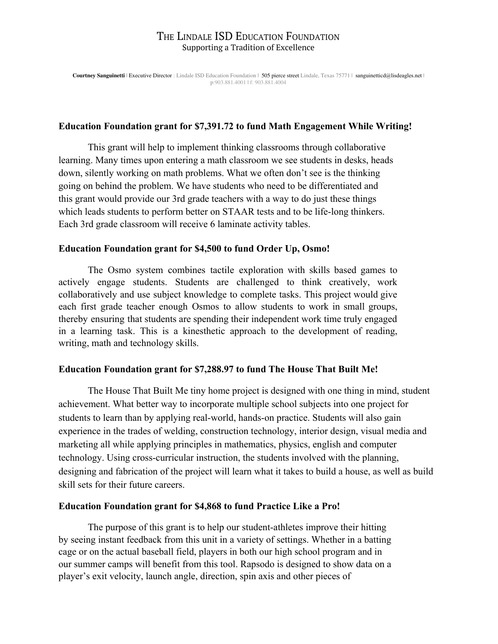**Courtney Sanguinetti** | Executive Director : Lindale ISD Education Foundation | 505 pierce street Lindale, Texas 75771 | sanguinetticd@lisdeagles.net | p:903.881.4001 | f: 903.881.4004

### **Education Foundation grant for \$7,391.72 to fund Math Engagement While Writing!**

This grant will help to implement thinking classrooms through collaborative learning. Many times upon entering a math classroom we see students in desks, heads down, silently working on math problems. What we often don't see is the thinking going on behind the problem. We have students who need to be differentiated and this grant would provide our 3rd grade teachers with a way to do just these things which leads students to perform better on STAAR tests and to be life-long thinkers. Each 3rd grade classroom will receive 6 laminate activity tables.

#### **Education Foundation grant for \$4,500 to fund Order Up, Osmo!**

The Osmo system combines tactile exploration with skills based games to actively engage students. Students are challenged to think creatively, work collaboratively and use subject knowledge to complete tasks. This project would give each first grade teacher enough Osmos to allow students to work in small groups, thereby ensuring that students are spending their independent work time truly engaged in a learning task. This is a kinesthetic approach to the development of reading, writing, math and technology skills.

### **Education Foundation grant for \$7,288.97 to fund The House That Built Me!**

The House That Built Me tiny home project is designed with one thing in mind, student achievement. What better way to incorporate multiple school subjects into one project for students to learn than by applying real-world, hands-on practice. Students will also gain experience in the trades of welding, construction technology, interior design, visual media and marketing all while applying principles in mathematics, physics, english and computer technology. Using cross-curricular instruction, the students involved with the planning, designing and fabrication of the project will learn what it takes to build a house, as well as build skill sets for their future careers.

#### **Education Foundation grant for \$4,868 to fund Practice Like a Pro!**

The purpose of this grant is to help our student-athletes improve their hitting by seeing instant feedback from this unit in a variety of settings. Whether in a batting cage or on the actual baseball field, players in both our high school program and in our summer camps will benefit from this tool. Rapsodo is designed to show data on a player's exit velocity, launch angle, direction, spin axis and other pieces of